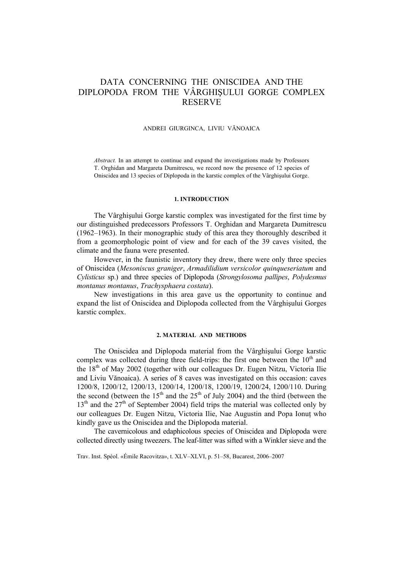# DATA CONCERNING THE ONISCIDEA AND THE DIPLOPODA FROM THE VÂRGHIŞULUI GORGE COMPLEX RESERVE

#### ANDREI GIURGINCA, LIVIU VĂNOAICA

*Abstract.* In an attempt to continue and expand the investigations made by Professors T. Orghidan and Margareta Dumitrescu, we record now the presence of 12 species of Oniscidea and 13 species of Diplopoda in the karstic complex of the Vârghişului Gorge.

## **1. INTRODUCTION**

The Vârghişului Gorge karstic complex was investigated for the first time by our distinguished predecessors Professors T. Orghidan and Margareta Dumitrescu (1962–1963). In their monographic study of this area they thoroughly described it from a geomorphologic point of view and for each of the 39 caves visited, the climate and the fauna were presented.

However, in the faunistic inventory they drew, there were only three species of Oniscidea (*Mesoniscus graniger*, *Armadilidium versicolor quinqueseriatum* and *Cylisticus* sp.) and three species of Diplopoda (*Strongylosoma pallipes*, *Polydesmus montanus montanus*, *Trachysphaera costata*).

New investigations in this area gave us the opportunity to continue and expand the list of Oniscidea and Diplopoda collected from the Vârghişului Gorges karstic complex.

#### **2. MATERIAL AND METHODS**

The Oniscidea and Diplopoda material from the Vârghişului Gorge karstic complex was collected during three field-trips: the first one between the  $10<sup>th</sup>$  and the  $18<sup>th</sup>$  of May 2002 (together with our colleagues Dr. Eugen Nitzu, Victoria Ilie and Liviu Vănoaica). A series of 8 caves was investigated on this occasion: caves 1200/8, 1200/12, 1200/13, 1200/14, 1200/18, 1200/19, 1200/24, 1200/110. During the second (between the  $15<sup>th</sup>$  and the  $25<sup>th</sup>$  of July 2004) and the third (between the  $13<sup>th</sup>$  and the  $27<sup>th</sup>$  of September 2004) field trips the material was collected only by our colleagues Dr. Eugen Nitzu, Victoria Ilie, Nae Augustin and Popa Ionut who kindly gave us the Oniscidea and the Diplopoda material.

The cavernicolous and edaphicolous species of Oniscidea and Diplopoda were collected directly using tweezers. The leaf-litter was sifted with a Winkler sieve and the

Trav. Inst. Spéol. «Émile Racovitza», t. XLV–XLVI, p. 51–58, Bucarest, 2006–2007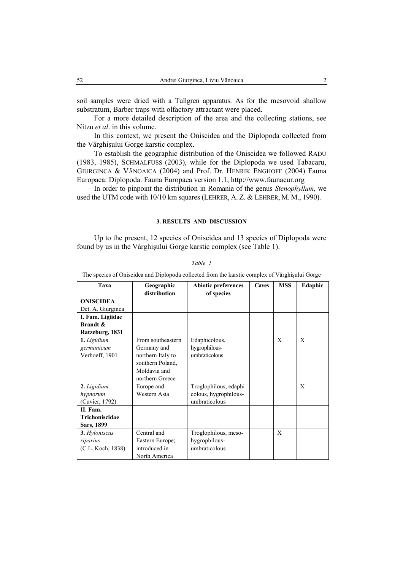soil samples were dried with a Tullgren apparatus. As for the mesovoid shallow substratum, Barber traps with olfactory attractant were placed.

For a more detailed description of the area and the collecting stations, see Nitzu *et al*. in this volume.

In this context, we present the Oniscidea and the Diplopoda collected from the Vârghişului Gorge karstic complex.

To establish the geographic distribution of the Oniscidea we followed RADU (1983, 1985), SCHMALFUSS (2003), while for the Diplopoda we used Tabacaru, GIURGINCA & VĂNOAICA (2004) and Prof. Dr. HENRIK ENGHOFF (2004) Fauna Europaea: Diplopoda. Fauna Europaea version 1.1, http://www.faunaeur.org

In order to pinpoint the distribution in Romania of the genus *Stenophyllum*, we used the UTM code with 10/10 km squares (LEHRER, A. Z. & LEHRER, M. M., 1990).

# **3. RESULTS AND DISCUSSION**

Up to the present, 12 species of Oniscidea and 13 species of Diplopoda were found by us in the Vârghişului Gorge karstic complex (see Table 1).

# *Table 1*

The species of Oniscidea and Diplopoda collected from the karstic complex of Vârghişului Gorge

| Taxa                                        | Geographic                                                                                                   | <b>Abiotic preferences</b>                      | <b>Caves</b> | <b>MSS</b> | Edaphic |
|---------------------------------------------|--------------------------------------------------------------------------------------------------------------|-------------------------------------------------|--------------|------------|---------|
|                                             | distribution                                                                                                 | of species                                      |              |            |         |
| <b>ONISCIDEA</b>                            |                                                                                                              |                                                 |              |            |         |
| Det. A. Giurginca                           |                                                                                                              |                                                 |              |            |         |
| I. Fam. Ligiidae                            |                                                                                                              |                                                 |              |            |         |
| <b>Brandt &amp;</b>                         |                                                                                                              |                                                 |              |            |         |
| Ratzeburg, 1831                             |                                                                                                              |                                                 |              |            |         |
| 1. Ligidium<br>germanicum<br>Verhoeff, 1901 | From southeastern<br>Germany and<br>northern Italy to<br>southern Poland,<br>Moldavia and<br>northern Greece | Edaphicolous,<br>hygrophilous-<br>umbraticolous |              | X          | X       |
| 2. Ligidium                                 | Europe and                                                                                                   | Troglophilous, edaphi                           |              |            | X       |
| hypnorum                                    | Western Asia                                                                                                 | colous, hygrophilous-                           |              |            |         |
| (Cuvier, 1792)                              |                                                                                                              | umbraticolous                                   |              |            |         |
| II. Fam.                                    |                                                                                                              |                                                 |              |            |         |
| Trichoniscidae                              |                                                                                                              |                                                 |              |            |         |
| Sars, 1899                                  |                                                                                                              |                                                 |              |            |         |
| 3. Hyloniscus                               | Central and                                                                                                  | Troglophilous, meso-                            |              | X          |         |
| riparius                                    | Eastern Europe;                                                                                              | hygrophilous-                                   |              |            |         |
| (C.L. Koch, 1838)                           | introduced in                                                                                                | umbraticolous                                   |              |            |         |
|                                             | North America                                                                                                |                                                 |              |            |         |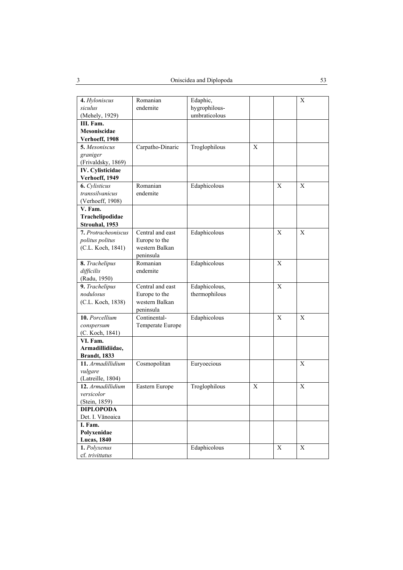| 4. Hyloniscus           | Romanian         | Edaphic,      |   |             | X            |
|-------------------------|------------------|---------------|---|-------------|--------------|
| siculus                 | endemite         | hygrophilous- |   |             |              |
| (Mehely, 1929)          |                  | umbraticolous |   |             |              |
| III. Fam.               |                  |               |   |             |              |
| Mesoniscidae            |                  |               |   |             |              |
| Verhoeff, 1908          |                  |               |   |             |              |
| 5. Mesoniscus           | Carpatho-Dinaric | Troglophilous | X |             |              |
| graniger                |                  |               |   |             |              |
| (Frivaldsky, 1869)      |                  |               |   |             |              |
| <b>IV.</b> Cylisticidae |                  |               |   |             |              |
| Verhoeff, 1949          |                  |               |   |             |              |
| <b>6.</b> Cylisticus    | Romanian         | Edaphicolous  |   | X           | X            |
| transsilvanicus         | endemite         |               |   |             |              |
| (Verhoeff, 1908)        |                  |               |   |             |              |
| V. Fam.                 |                  |               |   |             |              |
| Trachelipodidae         |                  |               |   |             |              |
| Strouhal, 1953          |                  |               |   |             |              |
| 7. Protracheoniscus     | Central and east | Edaphicolous  |   | X           | X            |
| politus politus         | Europe to the    |               |   |             |              |
| (C.L. Koch, 1841)       | western Balkan   |               |   |             |              |
|                         | peninsula        |               |   |             |              |
| 8. Trachelipus          | Romanian         | Edaphicolous  |   | $\mathbf X$ |              |
| difficilis              | endemite         |               |   |             |              |
| (Radu, 1950)            |                  |               |   |             |              |
| 9. Trachelipus          | Central and east | Edaphicolous, |   | $\mathbf X$ |              |
| nodulosus               | Europe to the    | thermophilous |   |             |              |
| (C.L. Koch, 1838)       | western Balkan   |               |   |             |              |
|                         | peninsula        |               |   |             |              |
| 10. Porcellium          | Continental-     | Edaphicolous  |   | X           | $\mathbf{X}$ |
| conspersum              | Temperate Europe |               |   |             |              |
| (C. Koch, 1841)         |                  |               |   |             |              |
| VI. Fam.                |                  |               |   |             |              |
| Armadillidiidae,        |                  |               |   |             |              |
| <b>Brandt</b> , 1833    |                  |               |   |             |              |
| 11. Armadillidium       | Cosmopolitan     | Euryoecious   |   |             | $\mathbf{X}$ |
| vulgare                 |                  |               |   |             |              |
| (Latreille, 1804)       |                  |               |   |             |              |
| 12. Armadillidium       | Eastern Europe   | Troglophilous | X |             | X            |
| versicolor              |                  |               |   |             |              |
| (Stein, 1859)           |                  |               |   |             |              |
| <b>DIPLOPODA</b>        |                  |               |   |             |              |
| Det. I. Vănoaica        |                  |               |   |             |              |
| I. Fam.                 |                  |               |   |             |              |
| Polyxenidae             |                  |               |   |             |              |
| <b>Lucas</b> , 1840     |                  |               |   |             |              |
| 1. Polyxenus            |                  | Edaphicolous  |   | Х           | X            |
| cf. trivittatus         |                  |               |   |             |              |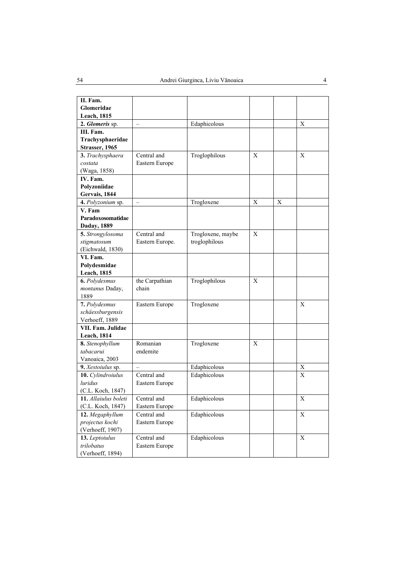| II. Fam.             |                          |                   |   |             |   |
|----------------------|--------------------------|-------------------|---|-------------|---|
| Glomeridae           |                          |                   |   |             |   |
| <b>Leach</b> , 1815  |                          |                   |   |             |   |
| 2. Glomeris sp.      | $\equiv$                 | Edaphicolous      |   |             | X |
| III. Fam.            |                          |                   |   |             |   |
| Trachysphaeridae     |                          |                   |   |             |   |
| Strasser, 1965       |                          |                   |   |             |   |
| 3. Trachysphaera     | Central and              | Troglophilous     | X |             | X |
| costata              | Eastern Europe           |                   |   |             |   |
| (Waga, 1858)         |                          |                   |   |             |   |
| IV. Fam.             |                          |                   |   |             |   |
| Polyzoniidae         |                          |                   |   |             |   |
| Gervais, 1844        |                          |                   |   |             |   |
| 4. Polyzonium sp.    | $\overline{\phantom{0}}$ | Trogloxene        | X | $\mathbf X$ |   |
| V. Fam               |                          |                   |   |             |   |
| Paradoxosomatidae    |                          |                   |   |             |   |
| Daday, 1889          |                          |                   |   |             |   |
| 5. Strongylosoma     | Central and              | Trogloxene, maybe | X |             |   |
| stigmatosum          | Eastern Europe.          | troglophilous     |   |             |   |
| (Eichwald, 1830)     |                          |                   |   |             |   |
| VI. Fam.             |                          |                   |   |             |   |
| Polydesmidae         |                          |                   |   |             |   |
| <b>Leach</b> , 1815  |                          |                   |   |             |   |
| 6. Polydesmus        | the Carpathian           | Troglophilous     | X |             |   |
| montanus Daday,      | chain                    |                   |   |             |   |
| 1889                 |                          |                   |   |             |   |
| 7. Polydesmus        | Eastern Europe           | Trogloxene        |   |             | X |
| schäessburgensis     |                          |                   |   |             |   |
| Verhoeff, 1889       |                          |                   |   |             |   |
| VII. Fam. Julidae    |                          |                   |   |             |   |
| <b>Leach</b> , 1814  |                          |                   |   |             |   |
| 8. Stenophyllum      | Romanian                 | Trogloxene        | X |             |   |
| tabacarui            | endemite                 |                   |   |             |   |
| Vanoaica, 2003       |                          |                   |   |             |   |
| 9. Xestoiulus sp.    | $\equiv$                 | Edaphicolous      |   |             | X |
| 10. Cylindroiulus    | Central and              | Edaphicolous      |   |             | X |
| <i>luridus</i>       | Eastern Europe           |                   |   |             |   |
| (C.L. Koch, 1847)    |                          |                   |   |             |   |
| 11. Allaiulus boleti | Central and              | Edaphicolous      |   |             | Х |
| (C.L. Koch, 1847)    | Eastern Europe           |                   |   |             |   |
| 12. Megaphyllum      | Central and              | Edaphicolous      |   |             | X |
| projectus kochi      | Eastern Europe           |                   |   |             |   |
| (Verhoeff, 1907)     |                          |                   |   |             |   |
| 13. Leptoiulus       | Central and              | Edaphicolous      |   |             | X |
| trilobatus           | Eastern Europe           |                   |   |             |   |
| (Verhoeff, 1894)     |                          |                   |   |             |   |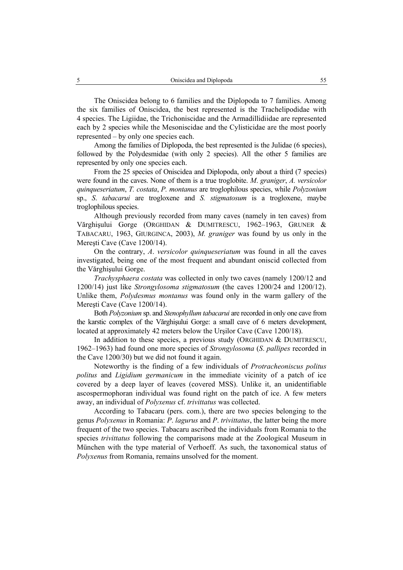The Oniscidea belong to 6 families and the Diplopoda to 7 families. Among the six families of Oniscidea, the best represented is the Trachelipodidae with 4 species. The Ligiidae, the Trichoniscidae and the Armadillidiidae are represented each by 2 species while the Mesoniscidae and the Cylisticidae are the most poorly represented – by only one species each.

Among the families of Diplopoda, the best represented is the Julidae (6 species), followed by the Polydesmidae (with only 2 species). All the other 5 families are represented by only one species each.

From the 25 species of Oniscidea and Diplopoda, only about a third (7 species) were found in the caves. None of them is a true troglobite. *M*. *graniger*, *A. versicolor quinqueseriatum*, *T. costata*, *P. montanus* are troglophilous species, while *Polyzonium*  sp., *S*. *tabacarui* are trogloxene and *S. stigmatosum* is a trogloxene, maybe troglophilous species.

Although previously recorded from many caves (namely in ten caves) from Vărghişului Gorge (ORGHIDAN & DUMITRESCU, 1962–1963, GRUNER & TABACARU, 1963, GIURGINCA, 2003), *M. graniger* was found by us only in the Mereşti Cave (Cave 1200/14).

On the contrary, *A*. *versicolor quinqueseriatum* was found in all the caves investigated, being one of the most frequent and abundant oniscid collected from the Vărghişului Gorge.

*Trachysphaera costata* was collected in only two caves (namely 1200/12 and 1200/14) just like *Strongylosoma stigmatosum* (the caves 1200/24 and 1200/12). Unlike them, *Polydesmus montanus* was found only in the warm gallery of the Mereşti Cave (Cave 1200/14).

Both *Polyzonium* sp. and *Stenophyllum tabacarui* are recorded in only one cave from the karstic complex of the Vărghişului Gorge: a small cave of 6 meters development, located at approximately 42 meters below the Urşilor Cave (Cave 1200/18).

In addition to these species, a previous study (ORGHIDAN & DUMITRESCU, 1962–1963) had found one more species of *Strongylosoma* (*S*. *pallipes* recorded in the Cave 1200/30) but we did not found it again.

Noteworthy is the finding of a few individuals of *Protracheoniscus politus politus* and *Ligidium germanicum* in the immediate vicinity of a patch of ice covered by a deep layer of leaves (covered MSS). Unlike it, an unidentifiable ascospermophoran individual was found right on the patch of ice. A few meters away, an individual of *Polyxenus* cf. *trivittatus* was collected.

According to Tabacaru (pers. com.), there are two species belonging to the genus *Polyxenus* in Romania: *P*. *lagurus* and *P*. *trivittatus*, the latter being the more frequent of the two species. Tabacaru ascribed the individuals from Romania to the species *trivittatus* following the comparisons made at the Zoological Museum in München with the type material of Verhoeff. As such, the taxonomical status of *Polyxenus* from Romania, remains unsolved for the moment.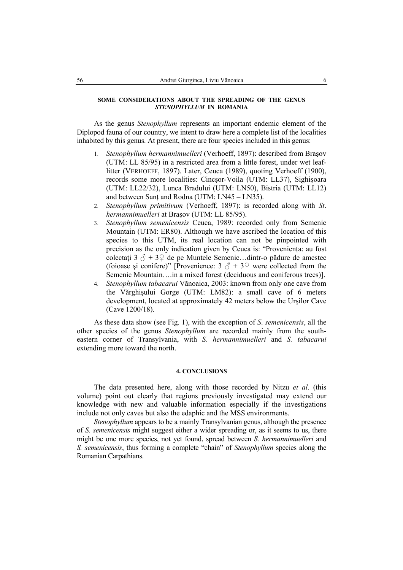# **SOME CONSIDERATIONS ABOUT THE SPREADING OF THE GENUS**  *STENOPHYLLUM* **IN ROMANIA**

As the genus *Stenophyllum* represents an important endemic element of the Diplopod fauna of our country, we intent to draw here a complete list of the localities inhabited by this genus. At present, there are four species included in this genus:

- 1. *Stenophyllum hermannimuelleri* (Verhoeff, 1897): described from Braşov (UTM: LL 85/95) in a restricted area from a little forest, under wet leaflitter (VERHOEFF, 1897). Later, Ceuca (1989), quoting Verhoeff (1900), records some more localities: Cincşor-Voila (UTM: LL37), Sighişoara (UTM: LL22/32), Lunca Bradului (UTM: LN50), Bistria (UTM: LL12) and between Sanţ and Rodna (UTM: LN45 – LN35).
- 2. *Stenophyllum primitivum* (Verhoeff, 1897): is recorded along with *St*. *hermannimuelleri* at Braşov (UTM: LL 85/95).
- 3. *Stenophyllum semenicensis* Ceuca, 1989: recorded only from Semenic Mountain (UTM: ER80). Although we have ascribed the location of this species to this UTM, its real location can not be pinpointed with precision as the only indication given by Ceuca is: "Provenienta: au fost colectați 3  $\delta$  + 3  $\Omega$  de pe Muntele Semenic...dintr-o pădure de amestec (foioase și conifere)" [Provenience:  $3 \text{ } \textcircled{} + 3\text{ } \textcircled{}$  were collected from the Semenic Mountain….in a mixed forest (deciduous and coniferous trees)].
- 4. *Stenophyllum tabacarui* Vănoaica, 2003: known from only one cave from the Vărghişului Gorge (UTM: LM82): a small cave of 6 meters development, located at approximately 42 meters below the Urşilor Cave (Cave 1200/18).

As these data show (see Fig. 1), with the exception of *S*. *semenicensis*, all the other species of the genus *Stenophyllum* are recorded mainly from the southeastern corner of Transylvania, with *S*. *hermannimuelleri* and *S. tabacarui*  extending more toward the north.

#### **4. CONCLUSIONS**

The data presented here, along with those recorded by Nitzu *et al*. (this volume) point out clearly that regions previously investigated may extend our knowledge with new and valuable information especially if the investigations include not only caves but also the edaphic and the MSS environments.

*Stenophyllum* appears to be a mainly Transylvanian genus, although the presence of *S. semenicensis* might suggest either a wider spreading or, as it seems to us, there might be one more species, not yet found, spread between *S. hermannimuelleri* and *S. semenicensis*, thus forming a complete "chain" of *Stenophyllum* species along the Romanian Carpathians.